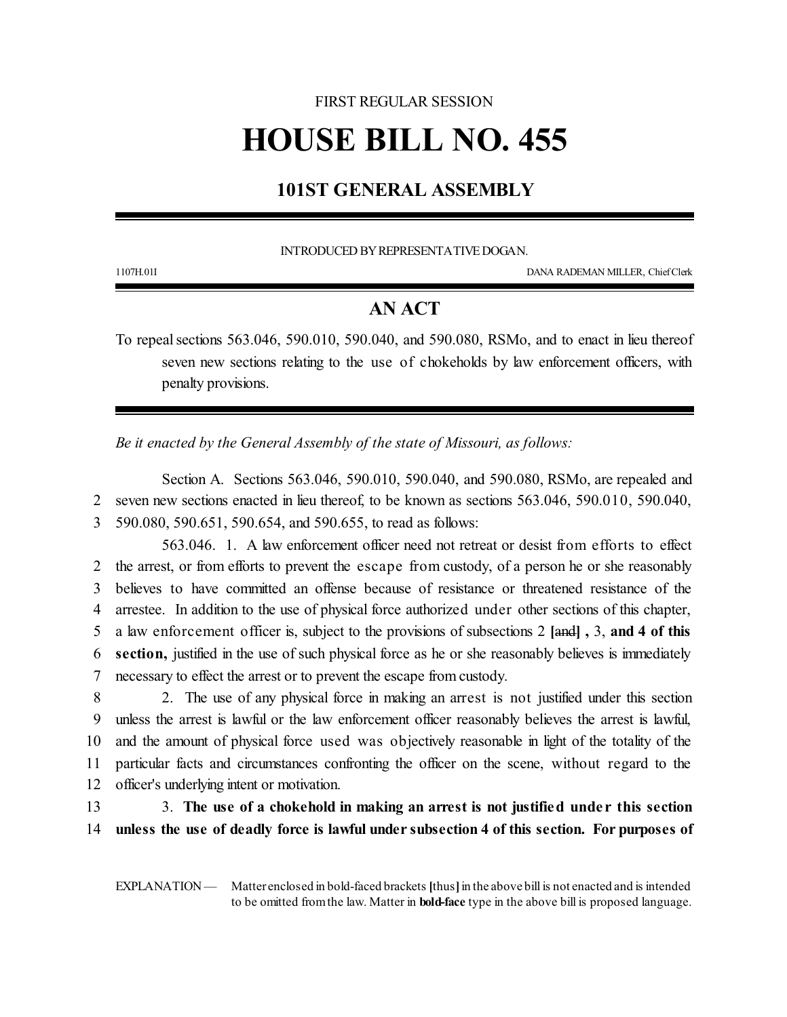# FIRST REGULAR SESSION **HOUSE BILL NO. 455**

## **101ST GENERAL ASSEMBLY**

INTRODUCED BY REPRESENTATIVE DOGAN.

1107H.01I DANA RADEMAN MILLER, ChiefClerk

### **AN ACT**

To repeal sections 563.046, 590.010, 590.040, and 590.080, RSMo, and to enact in lieu thereof seven new sections relating to the use of chokeholds by law enforcement officers, with penalty provisions.

*Be it enacted by the General Assembly of the state of Missouri, as follows:*

Section A. Sections 563.046, 590.010, 590.040, and 590.080, RSMo, are repealed and 2 seven new sections enacted in lieu thereof, to be known as sections 563.046, 590.010, 590.040, 3 590.080, 590.651, 590.654, and 590.655, to read as follows:

563.046. 1. A law enforcement officer need not retreat or desist from efforts to effect the arrest, or from efforts to prevent the escape from custody, of a person he or she reasonably believes to have committed an offense because of resistance or threatened resistance of the arrestee. In addition to the use of physical force authorized under other sections of this chapter, a law enforcement officer is, subject to the provisions of subsections 2 **[**and**] ,** 3, **and 4 of this section,** justified in the use of such physical force as he or she reasonably believes is immediately necessary to effect the arrest or to prevent the escape fromcustody.

 2. The use of any physical force in making an arrest is not justified under this section unless the arrest is lawful or the law enforcement officer reasonably believes the arrest is lawful, and the amount of physical force used was objectively reasonable in light of the totality of the particular facts and circumstances confronting the officer on the scene, without regard to the officer's underlying intent or motivation.

13 3. **The use of a chokehold in making an arrest is not justified unde r this section** 14 **unless the use of deadly force is lawful under subsection 4 of this section. For purposes of**

EXPLANATION — Matter enclosed in bold-faced brackets [thus] in the above bill is not enacted and is intended to be omitted fromthe law. Matter in **bold-face** type in the above bill is proposed language.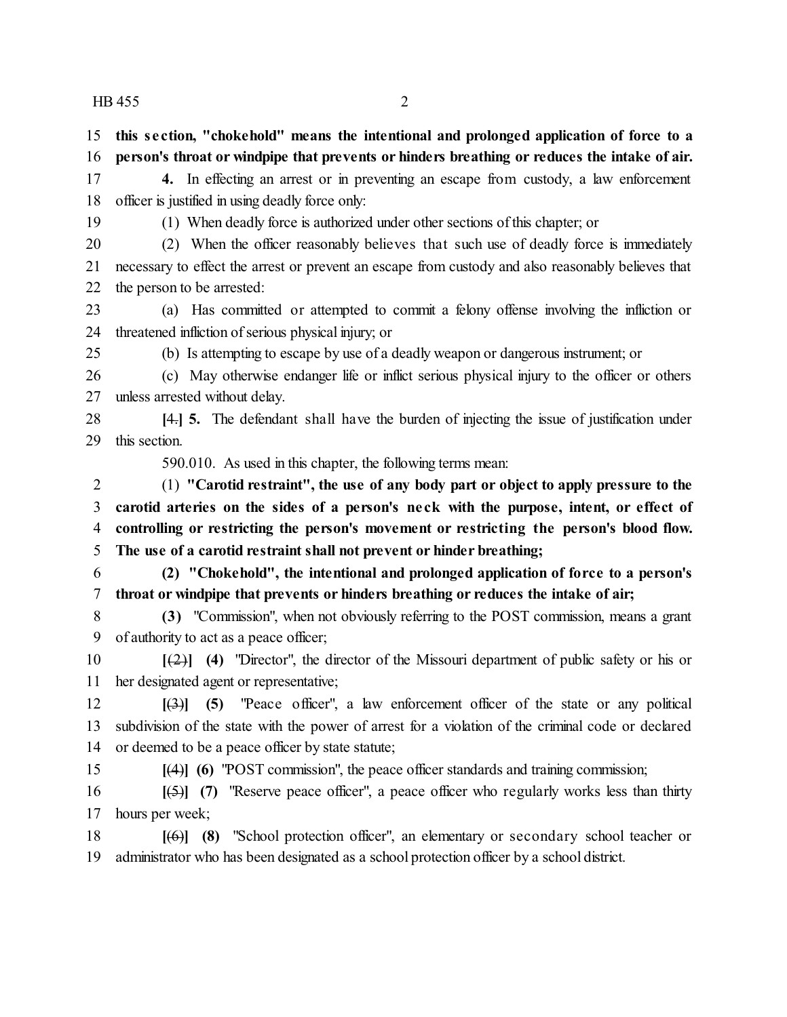| 15             | this section, "chokehold" means the intentional and prolonged application of force to a                 |
|----------------|---------------------------------------------------------------------------------------------------------|
| 16             | person's throat or windpipe that prevents or hinders breathing or reduces the intake of air.            |
| 17             | 4. In effecting an arrest or in preventing an escape from custody, a law enforcement                    |
| 18             | officer is justified in using deadly force only:                                                        |
| 19             | (1) When deadly force is authorized under other sections of this chapter; or                            |
| 20             | When the officer reasonably believes that such use of deadly force is immediately<br>(2)                |
| 21             | necessary to effect the arrest or prevent an escape from custody and also reasonably believes that      |
| 22             | the person to be arrested:                                                                              |
| 23             | (a) Has committed or attempted to commit a felony offense involving the infliction or                   |
| 24             | threatened infliction of serious physical injury; or                                                    |
| 25             | (b) Is attempting to escape by use of a deadly weapon or dangerous instrument; or                       |
| 26             | (c) May otherwise endanger life or inflict serious physical injury to the officer or others             |
| 27             | unless arrested without delay.                                                                          |
| 28             | [4.] 5. The defendant shall have the burden of injecting the issue of justification under               |
| 29             | this section.                                                                                           |
|                | 590.010. As used in this chapter, the following terms mean:                                             |
| $\overline{2}$ | (1) "Carotid restraint", the use of any body part or object to apply pressure to the                    |
| 3              | carotid arteries on the sides of a person's neck with the purpose, intent, or effect of                 |
| $\overline{4}$ | controlling or restricting the person's movement or restricting the person's blood flow.                |
| 5              | The use of a carotid restraint shall not prevent or hinder breathing;                                   |
| 6              | (2) "Chokehold", the intentional and prolonged application of force to a person's                       |
| 7              | throat or windpipe that prevents or hinders breathing or reduces the intake of air;                     |
| 8              | (3) "Commission", when not obviously referring to the POST commission, means a grant                    |
| 9              | of authority to act as a peace officer;                                                                 |
| 10             | $[2]$ (4) "Director", the director of the Missouri department of public safety or his or                |
| 11             | her designated agent or representative;                                                                 |
| 12             | $\left[\frac{3}{2}\right]$ (5) "Peace officer", a law enforcement officer of the state or any political |
| 13             | subdivision of the state with the power of arrest for a violation of the criminal code or declared      |
| 14             | or deemed to be a peace officer by state statute;                                                       |
| 15             | $[(4)]$ (6) "POST commission", the peace officer standards and training commission;                     |
| 16             | "Reserve peace officer", a peace officer who regularly works less than thirty<br>$(5)$ $(7)$            |
| 17             | hours per week;                                                                                         |
| 18             | "School protection officer", an elementary or secondary school teacher or<br>[(6)] (8)                  |
| 19             | administrator who has been designated as a school protection officer by a school district.              |
|                |                                                                                                         |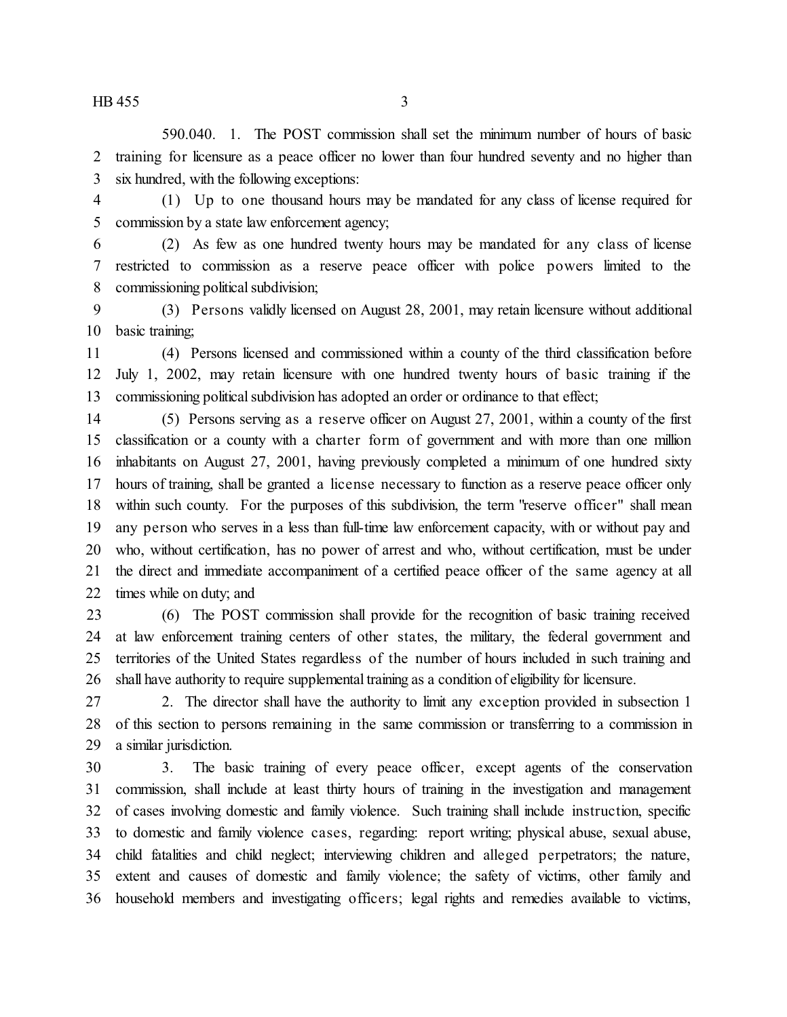590.040. 1. The POST commission shall set the minimum number of hours of basic training for licensure as a peace officer no lower than four hundred seventy and no higher than six hundred, with the following exceptions:

 (1) Up to one thousand hours may be mandated for any class of license required for commission by a state law enforcement agency;

 (2) As few as one hundred twenty hours may be mandated for any class of license restricted to commission as a reserve peace officer with police powers limited to the commissioning political subdivision;

 (3) Persons validly licensed on August 28, 2001, may retain licensure without additional 10 basic training;

 (4) Persons licensed and commissioned within a county of the third classification before July 1, 2002, may retain licensure with one hundred twenty hours of basic training if the commissioning political subdivision has adopted an order or ordinance to that effect;

 (5) Persons serving as a reserve officer on August 27, 2001, within a county of the first classification or a county with a charter form of government and with more than one million inhabitants on August 27, 2001, having previously completed a minimum of one hundred sixty hours of training, shall be granted a license necessary to function as a reserve peace officer only within such county. For the purposes of this subdivision, the term "reserve officer" shall mean any person who serves in a less than full-time law enforcement capacity, with or without pay and who, without certification, has no power of arrest and who, without certification, must be under the direct and immediate accompaniment of a certified peace officer of the same agency at all times while on duty; and

 (6) The POST commission shall provide for the recognition of basic training received at law enforcement training centers of other states, the military, the federal government and territories of the United States regardless of the number of hours included in such training and shall have authority to require supplemental training as a condition of eligibility for licensure.

 2. The director shall have the authority to limit any exception provided in subsection 1 of this section to persons remaining in the same commission or transferring to a commission in a similar jurisdiction.

 3. The basic training of every peace officer, except agents of the conservation commission, shall include at least thirty hours of training in the investigation and management of cases involving domestic and family violence. Such training shall include instruction, specific to domestic and family violence cases, regarding: report writing; physical abuse, sexual abuse, child fatalities and child neglect; interviewing children and alleged perpetrators; the nature, extent and causes of domestic and family violence; the safety of victims, other family and household members and investigating officers; legal rights and remedies available to victims,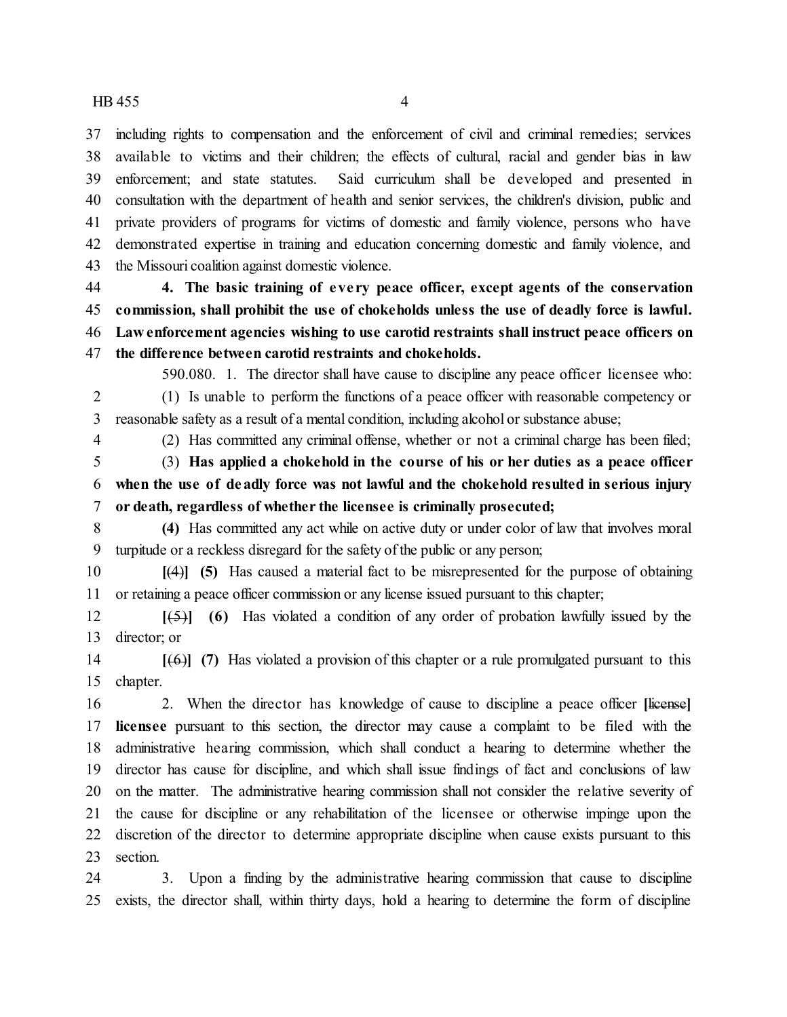including rights to compensation and the enforcement of civil and criminal remedies; services available to victims and their children; the effects of cultural, racial and gender bias in law enforcement; and state statutes. Said curriculum shall be developed and presented in consultation with the department of health and senior services, the children's division, public and private providers of programs for victims of domestic and family violence, persons who have demonstrated expertise in training and education concerning domestic and family violence, and the Missouri coalition against domestic violence.

 **4. The basic training of eve ry peace officer, except agents of the conservation commission, shall prohibit the use of chokeholds unless the use of deadly force is lawful. Law enforcement agencies wishing to use carotid restraints shall instruct peace officers on the difference between carotid restraints and chokeholds.**

590.080. 1. The director shall have cause to discipline any peace officer licensee who: (1) Is unable to perform the functions of a peace officer with reasonable competency or

reasonable safety as a result of a mental condition, including alcohol or substance abuse;

(2) Has committed any criminal offense, whether or not a criminal charge has been filed;

 (3) **Has applied a chokehold in the course of his or her duties as a peace officer when the use of deadly force was not lawful and the chokehold resulted in serious injury or death, regardless of whether the licensee is criminally prosecuted;**

 **(4)** Has committed any act while on active duty or under color of law that involves moral turpitude or a reckless disregard for the safety of the public or any person;

 **[**(4)**] (5)** Has caused a material fact to be misrepresented for the purpose of obtaining or retaining a peace officer commission or any license issued pursuant to this chapter;

 **[**(5)**] (6)** Has violated a condition of any order of probation lawfully issued by the director; or

 **[**(6)**] (7)** Has violated a provision of this chapter or a rule promulgated pursuant to this chapter.

 2. When the director has knowledge of cause to discipline a peace officer **[**license**] licensee** pursuant to this section, the director may cause a complaint to be filed with the administrative hearing commission, which shall conduct a hearing to determine whether the director has cause for discipline, and which shall issue findings of fact and conclusions of law on the matter. The administrative hearing commission shall not consider the relative severity of the cause for discipline or any rehabilitation of the licensee or otherwise impinge upon the discretion of the director to determine appropriate discipline when cause exists pursuant to this section.

 3. Upon a finding by the administrative hearing commission that cause to discipline exists, the director shall, within thirty days, hold a hearing to determine the form of discipline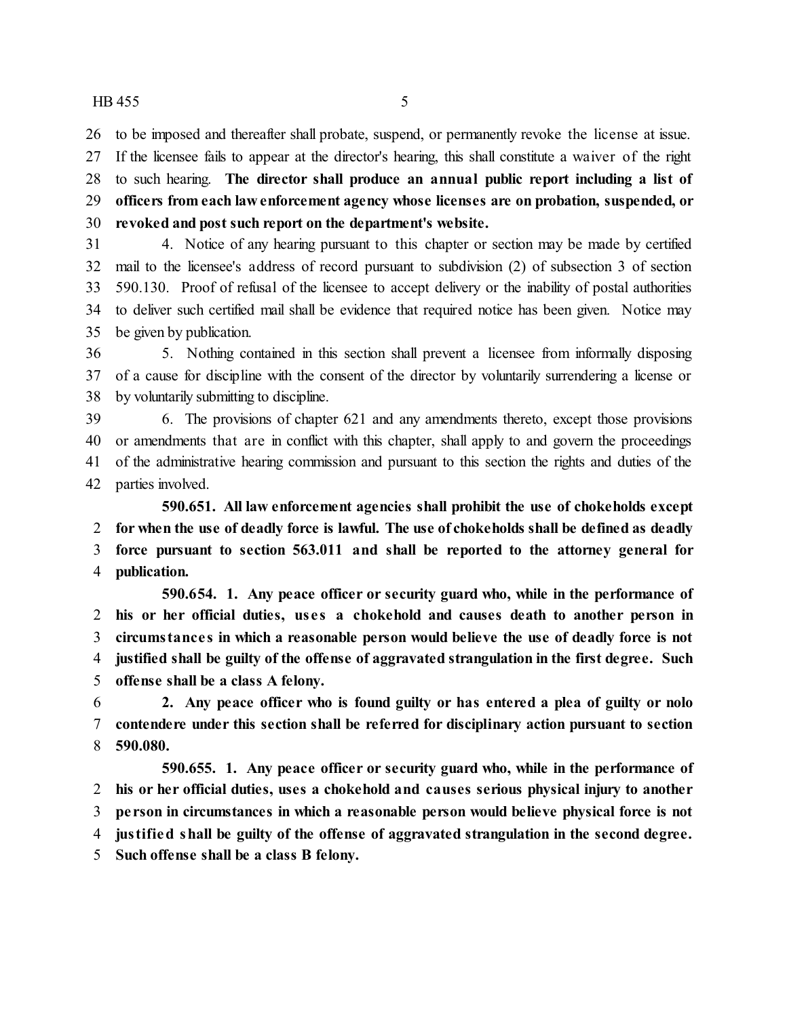to be imposed and thereafter shall probate, suspend, or permanently revoke the license at issue.

 If the licensee fails to appear at the director's hearing, this shall constitute a waiver of the right to such hearing. **The director shall produce an annual public report including a list of officers from each law enforcement agency whose licenses are on probation, suspended, or revoked and post such report on the department's website.**

 4. Notice of any hearing pursuant to this chapter or section may be made by certified mail to the licensee's address of record pursuant to subdivision (2) of subsection 3 of section 590.130. Proof of refusal of the licensee to accept delivery or the inability of postal authorities to deliver such certified mail shall be evidence that required notice has been given. Notice may be given by publication.

 5. Nothing contained in this section shall prevent a licensee from informally disposing of a cause for discipline with the consent of the director by voluntarily surrendering a license or by voluntarily submitting to discipline.

 6. The provisions of chapter 621 and any amendments thereto, except those provisions or amendments that are in conflict with this chapter, shall apply to and govern the proceedings of the administrative hearing commission and pursuant to this section the rights and duties of the parties involved.

**590.651. All law enforcement agencies shall prohibit the use of chokeholds except for when the use of deadly force is lawful. The use of chokeholds shall be defined as deadly force pursuant to section 563.011 and shall be reported to the attorney general for publication.**

**590.654. 1. Any peace officer or security guard who, while in the performance of his or her official duties, us e s a chokehold and causes death to another person in circumstance s in which a reasonable person would believe the use of deadly force is not justified shall be guilty of the offense of aggravated strangulation in the first degree. Such offense shall be a class A felony.**

 **2. Any peace officer who is found guilty or has entered a plea of guilty or nolo contendere under this section shall be referred for disciplinary action pursuant to section 590.080.**

**590.655. 1. Any peace officer or security guard who, while in the performance of his or her official duties, uses a chokehold and causes serious physical injury to another pe rson in circumstances in which a reasonable person would believe physical force is not justified shall be guilty of the offense of aggravated strangulation in the second degree. Such offense shall be a class B felony.**